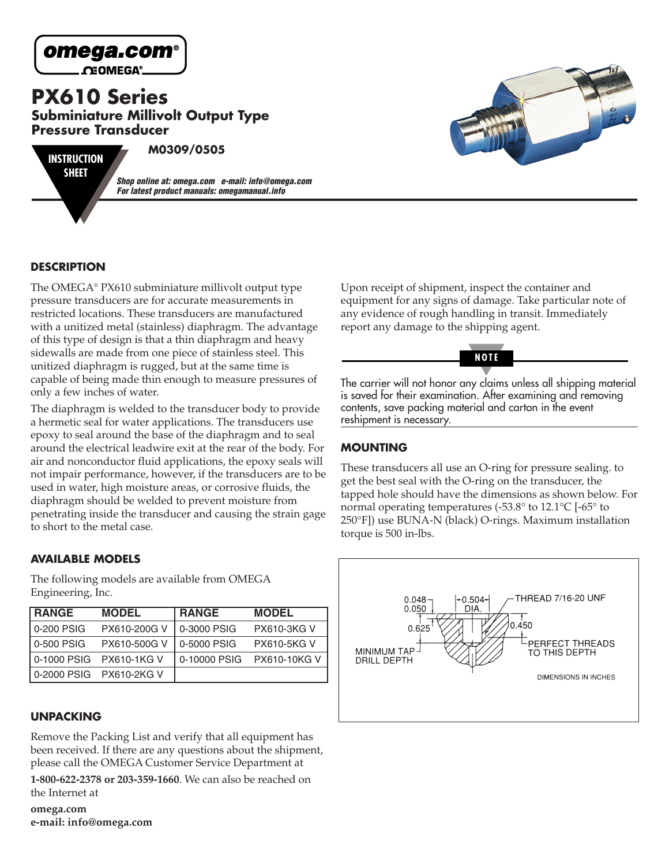

**CEOMEGA®**.

**PX610 Series Subminiature Millivolt Output Type Pressure Transducer**

**INSTRUCTION SHEET**

**M0309/0505**

**Shop online at: omega.com e-mail: info@omega.com For latest product manuals: omegamanual.info**



## **DESCRIPTION**

The OMEGA® PX610 subminiature millivolt output type pressure transducers are for accurate measurements in restricted locations. These transducers are manufactured with a unitized metal (stainless) diaphragm. The advantage of this type of design is that a thin diaphragm and heavy sidewalls are made from one piece of stainless steel. This unitized diaphragm is rugged, but at the same time is capable of being made thin enough to measure pressures of only a few inches of water.

The diaphragm is welded to the transducer body to provide a hermetic seal for water applications. The transducers use epoxy to seal around the base of the diaphragm and to seal around the electrical leadwire exit at the rear of the body. For air and nonconductor fluid applications, the epoxy seals will not impair performance, however, if the transducers are to be used in water, high moisture areas, or corrosive fluids, the diaphragm should be welded to prevent moisture from penetrating inside the transducer and causing the strain gage to short to the metal case.

## **AVAILABLE MODELS**

The following models are available from OMEGA Engineering, Inc.

| <b>RANGE</b> | <b>MODEL</b>              | <b>RANGE</b> | <b>MODEL</b>        |
|--------------|---------------------------|--------------|---------------------|
| 0-200 PSIG   | PX610-200G V              | 0-3000 PSIG  | <b>PX610-3KG V</b>  |
| l 0-500 PSIG | PX610-500G V              | 0-5000 PSIG  | <b>PX610-5KG V</b>  |
|              | l 0-1000 PSIG PX610-1KG V | 0-10000 PSIG | <b>PX610-10KG V</b> |
|              | l 0-2000 PSIG PX610-2KG V |              |                     |

# **UNPACKING**

Remove the Packing List and verify that all equipment has been received. If there are any questions about the shipment, please call the OMEGA Customer Service Department at

**1-800-622-2378 or 203-359-1660**. We can also be reached on the Internet at

**omega.com e-mail: info@omega.com** Upon receipt of shipment, inspect the container and equipment for any signs of damage. Take particular note of any evidence of rough handling in transit. Immediately report any damage to the shipping agent.



The carrier will not honor any claims unless all shipping material is saved for their examination. After examining and removing contents, save packing material and carton in the event reshipment is necessary.

# **MOUNTING**

These transducers all use an O-ring for pressure sealing. to get the best seal with the O-ring on the transducer, the tapped hole should have the dimensions as shown below. For normal operating temperatures (-53.8 $\degree$  to 12.1 $\degree$ C [-65 $\degree$  to 250°F]) use BUNA-N (black) O-rings. Maximum installation torque is 500 in-lbs.